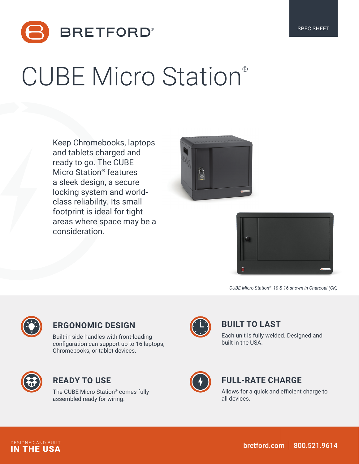

# CUBE Micro Station®

Keep Chromebooks, laptops and tablets charged and ready to go. The CUBE Micro Station® features a sleek design, a secure locking system and worldclass reliability. Its small footprint is ideal for tight areas where space may be a consideration.





*CUBE Micro Station® 10 & 16 shown in Charcoal (CK)*



### **ERGONOMIC DESIGN**

Built-in side handles with front-loading configuration can support up to 16 laptops, Chromebooks, or tablet devices.



### **READY TO USE**

The CUBE Micro Station® comes fully assembled ready for wiring.



## **BUILT TO LAST**

Each unit is fully welded. Designed and built in the USA.



### **FULL-RATE CHARGE**

Allows for a quick and efficient charge to all devices.